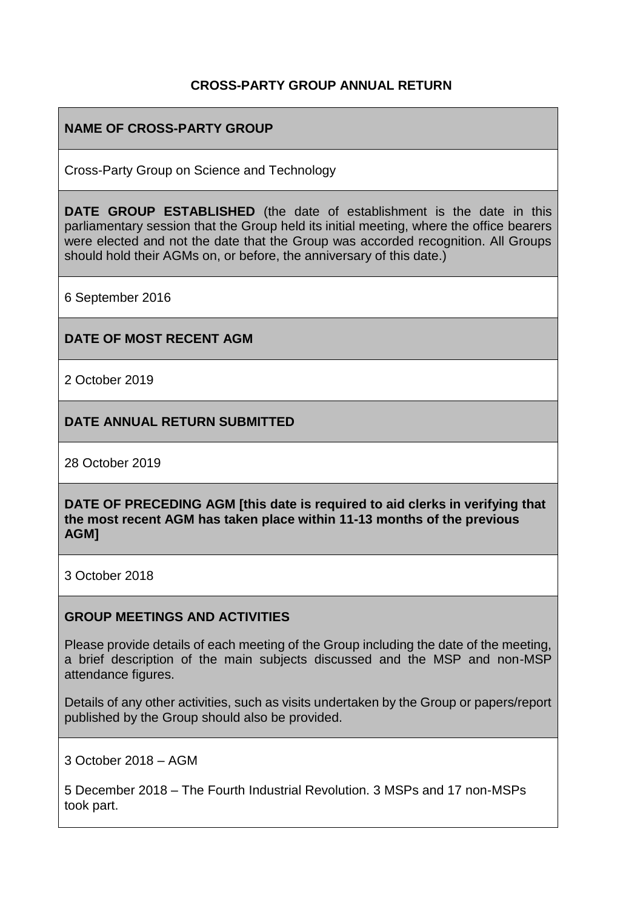## **CROSS-PARTY GROUP ANNUAL RETURN**

# **NAME OF CROSS-PARTY GROUP**

Cross-Party Group on Science and Technology

**DATE GROUP ESTABLISHED** (the date of establishment is the date in this parliamentary session that the Group held its initial meeting, where the office bearers were elected and not the date that the Group was accorded recognition. All Groups should hold their AGMs on, or before, the anniversary of this date.)

6 September 2016

#### **DATE OF MOST RECENT AGM**

2 October 2019

**DATE ANNUAL RETURN SUBMITTED**

28 October 2019

**DATE OF PRECEDING AGM [this date is required to aid clerks in verifying that the most recent AGM has taken place within 11-13 months of the previous AGM]**

3 October 2018

#### **GROUP MEETINGS AND ACTIVITIES**

Please provide details of each meeting of the Group including the date of the meeting, a brief description of the main subjects discussed and the MSP and non-MSP attendance figures.

Details of any other activities, such as visits undertaken by the Group or papers/report published by the Group should also be provided.

3 October 2018 – AGM

5 December 2018 – The Fourth Industrial Revolution. 3 MSPs and 17 non-MSPs took part.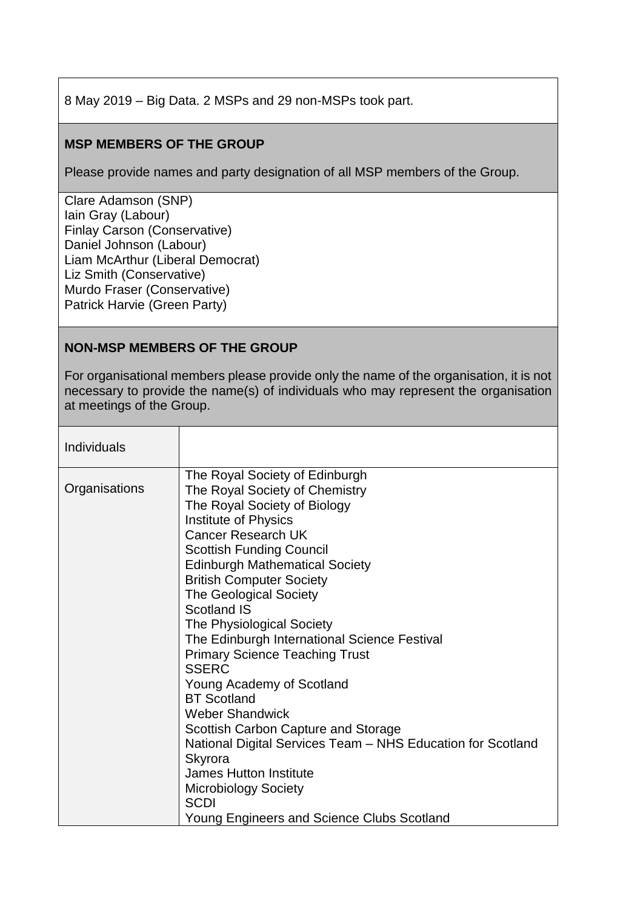8 May 2019 – Big Data. 2 MSPs and 29 non-MSPs took part.

## **MSP MEMBERS OF THE GROUP**

Please provide names and party designation of all MSP members of the Group.

[Clare Adamson](http://www.parliament.scot/msps/currentmsps/clare-adamson-msp.aspx) (SNP) [Iain Gray](http://www.parliament.scot/msps/currentmsps/iain-gray-msp.aspx) (Labour) Finlay Carson (Conservative) [Daniel Johnson](http://www.parliament.scot/msps/currentmsps/daniel-johnson-msp.aspx) (Labour) [Liam McArthur](http://www.parliament.scot/msps/currentmsps/liam-mcarthur-msp.aspx) (Liberal Democrat) [Liz Smith](http://www.parliament.scot/msps/currentmsps/liz-smith-msp.aspx) (Conservative) [Murdo Fraser](http://www.parliament.scot/msps/currentmsps/murdo-fraser-msp.aspx) (Conservative) [Patrick Harvie](http://www.parliament.scot/msps/currentmsps/patrick-harvie-msp.aspx) (Green Party)

### **NON-MSP MEMBERS OF THE GROUP**

For organisational members please provide only the name of the organisation, it is not necessary to provide the name(s) of individuals who may represent the organisation at meetings of the Group.

| Individuals   |                                                                                                                                                                                                                                                                                                                                                                                                                                                                                                                                                                                                                                                                                                                                        |
|---------------|----------------------------------------------------------------------------------------------------------------------------------------------------------------------------------------------------------------------------------------------------------------------------------------------------------------------------------------------------------------------------------------------------------------------------------------------------------------------------------------------------------------------------------------------------------------------------------------------------------------------------------------------------------------------------------------------------------------------------------------|
| Organisations | The Royal Society of Edinburgh<br>The Royal Society of Chemistry<br>The Royal Society of Biology<br><b>Institute of Physics</b><br><b>Cancer Research UK</b><br><b>Scottish Funding Council</b><br><b>Edinburgh Mathematical Society</b><br><b>British Computer Society</b><br><b>The Geological Society</b><br><b>Scotland IS</b><br>The Physiological Society<br>The Edinburgh International Science Festival<br><b>Primary Science Teaching Trust</b><br><b>SSERC</b><br>Young Academy of Scotland<br><b>BT</b> Scotland<br><b>Weber Shandwick</b><br>Scottish Carbon Capture and Storage<br>National Digital Services Team - NHS Education for Scotland<br>Skyrora<br><b>James Hutton Institute</b><br><b>Microbiology Society</b> |
|               | <b>SCDI</b><br>Young Engineers and Science Clubs Scotland                                                                                                                                                                                                                                                                                                                                                                                                                                                                                                                                                                                                                                                                              |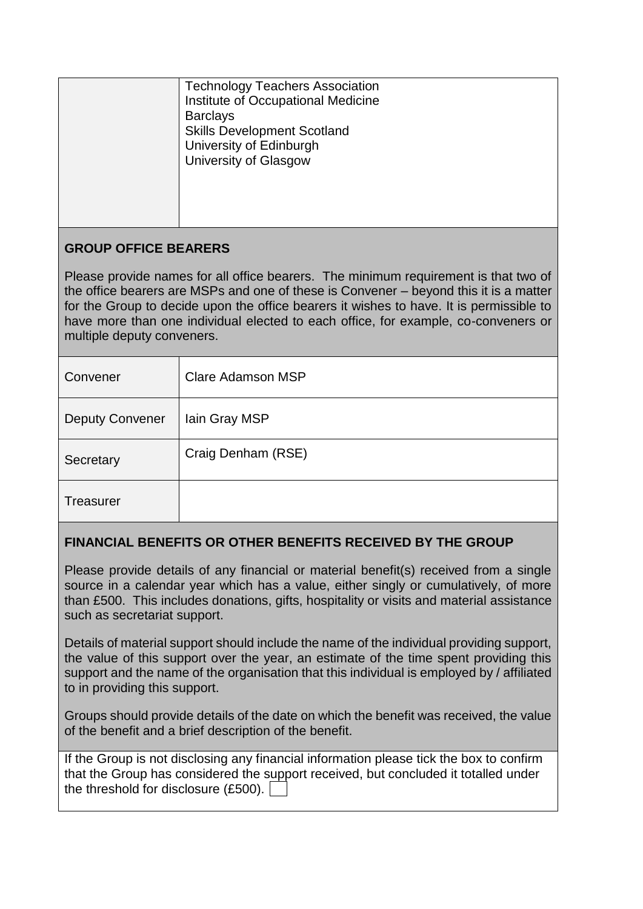| <b>Technology Teachers Association</b><br>Institute of Occupational Medicine<br><b>Barclays</b><br><b>Skills Development Scotland</b><br>University of Edinburgh<br><b>University of Glasgow</b> |
|--------------------------------------------------------------------------------------------------------------------------------------------------------------------------------------------------|
|                                                                                                                                                                                                  |

# **GROUP OFFICE BEARERS**

Please provide names for all office bearers. The minimum requirement is that two of the office bearers are MSPs and one of these is Convener – beyond this it is a matter for the Group to decide upon the office bearers it wishes to have. It is permissible to have more than one individual elected to each office, for example, co-conveners or multiple deputy conveners.

| Convener               | Clare Adamson MSP  |
|------------------------|--------------------|
| <b>Deputy Convener</b> | lain Gray MSP      |
| Secretary              | Craig Denham (RSE) |
| <b>Treasurer</b>       |                    |

# **FINANCIAL BENEFITS OR OTHER BENEFITS RECEIVED BY THE GROUP**

Please provide details of any financial or material benefit(s) received from a single source in a calendar year which has a value, either singly or cumulatively, of more than £500. This includes donations, gifts, hospitality or visits and material assistance such as secretariat support.

Details of material support should include the name of the individual providing support, the value of this support over the year, an estimate of the time spent providing this support and the name of the organisation that this individual is employed by / affiliated to in providing this support.

Groups should provide details of the date on which the benefit was received, the value of the benefit and a brief description of the benefit.

| If the Group is not disclosing any financial information please tick the box to confirm |
|-----------------------------------------------------------------------------------------|
| that the Group has considered the support received, but concluded it totalled under     |
| the threshold for disclosure $(E500)$ . $ $                                             |